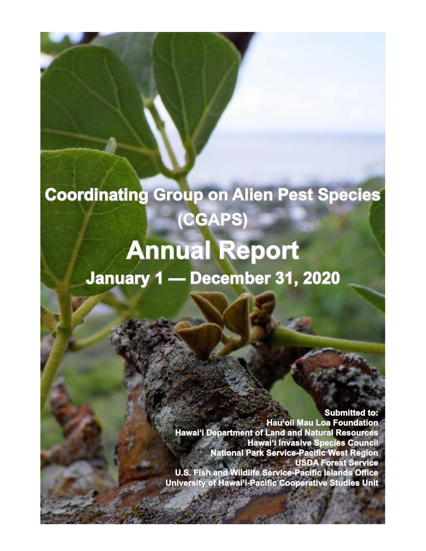# **Coordinating Group on Alien Pest Species (CGAPS)**

# **Annual Report January 1 — December 31, 2020**

**Submitted to: Hau'oli Mau Loa Foundation Hawai'i Department of Land and Natural Resources Hawai'i Invasive Species Council National Park Service-Pacific West Region USDA Forest Service U.S. Fish and Wildlife Service-Pacific Islands Office University of Hawai'i-Pacific Cooperative Studies Unit**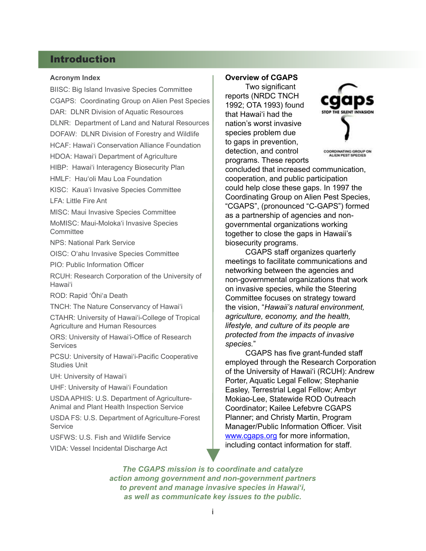# Introduction

#### **Acronym Index**

BIISC: Big Island Invasive Species Committee CGAPS: Coordinating Group on Alien Pest Species DAR: DLNR Division of Aquatic Resources DLNR: Department of Land and Natural Resources DOFAW: DLNR Division of Forestry and Wildlife HCAF: Hawaiʻi Conservation Alliance Foundation HDOA: Hawaiʻi Department of Agriculture HIBP: Hawaiʻi Interagency Biosecurity Plan HMLF: Hauʻoli Mau Loa Foundation KISC: Kauaʻi Invasive Species Committee LFA: Little Fire Ant MISC: Maui Invasive Species Committee MoMISC: Maui-Molokaʻi Invasive Species **Committee** NPS: National Park Service OISC: Oʻahu Invasive Species Committee PIO: Public Information Officer RCUH: Research Corporation of the University of Hawaiʻi ROD: Rapid ʻŌhiʻa Death TNCH: The Nature Conservancy of Hawaiʻi CTAHR: University of Hawaiʻi-College of Tropical Agriculture and Human Resources ORS: University of Hawaiʻi-Office of Research **Services** PCSU: University of Hawaiʻi-Pacific Cooperative Studies Unit UH: University of Hawaiʻi UHF: University of Hawaiʻi Foundation USDA APHIS: U.S. Department of Agriculture-Animal and Plant Health Inspection Service USDA FS: U.S. Department of Agriculture-Forest **Service** USFWS: U.S. Fish and Wildlife Service

VIDA: Vessel Incidental Discharge Act

#### **Overview of CGAPS**

 Two significant reports (NRDC TNCH 1992; OTA 1993) found that Hawaiʻi had the nation's worst invasive species problem due to gaps in prevention, detection, and control programs. These reports



**COORDINATING GROUP ON ALIEN PEST SPECIES** 

concluded that increased communication, cooperation, and public participation could help close these gaps. In 1997 the Coordinating Group on Alien Pest Species, "CGAPS", (pronounced "C-GAPS") formed as a partnership of agencies and nongovernmental organizations working together to close the gaps in Hawaii's biosecurity programs.

 CGAPS staff organizes quarterly meetings to facilitate communications and networking between the agencies and non-governmental organizations that work on invasive species, while the Steering Committee focuses on strategy toward the vision, "*Hawaii's natural environment, agriculture, economy, and the health, lifestyle, and culture of its people are protected from the impacts of invasive species.*"

 CGAPS has five grant-funded staff employed through the Research Corporation of the University of Hawaiʻi (RCUH): Andrew Porter, Aquatic Legal Fellow; Stephanie Easley, Terrestrial Legal Fellow; Ambyr Mokiao-Lee, Statewide ROD Outreach Coordinator; Kailee Lefebvre CGAPS Planner; and Christy Martin, Program Manager/Public Information Officer. Visit [www.cgaps.org](http://www.cgaps.org) for more information, including contact information for staff.

*The CGAPS mission is to coordinate and catalyze action among government and non-government partners to prevent and manage invasive species in Hawai'i, as well as communicate key issues to the public.*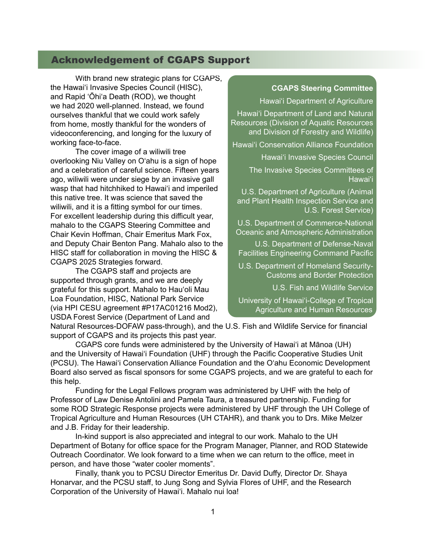# Acknowledgement of CGAPS Support

 With brand new strategic plans for CGAPS, the Hawai'i Invasive Species Council (HISC), and Rapid 'Ōhi'a Death (ROD), we thought we had 2020 well-planned. Instead, we found ourselves thankful that we could work safely from home, mostly thankful for the wonders of videoconferencing, and longing for the luxury of working face-to-face.

 The cover image of a wiliwili tree overlooking Niu Valley on O'ahu is a sign of hope and a celebration of careful science. Fifteen years ago, wiliwili were under siege by an invasive gall wasp that had hitchhiked to Hawai'i and imperiled this native tree. It was science that saved the wiliwili, and it is a fitting symbol for our times. For excellent leadership during this difficult year, mahalo to the CGAPS Steering Committee and Chair Kevin Hoffman, Chair Emeritus Mark Fox, and Deputy Chair Benton Pang. Mahalo also to the HISC staff for collaboration in moving the HISC & CGAPS 2025 Strategies forward.

 The CGAPS staff and projects are supported through grants, and we are deeply grateful for this support. Mahalo to Hau'oli Mau Loa Foundation, HISC, National Park Service (via HPI CESU agreement #P17AC01216 Mod2), USDA Forest Service (Department of Land and

#### **CGAPS Steering Committee**

Hawaiʻi Department of Agriculture

Hawaiʻi Department of Land and Natural Resources (Division of Aquatic Resources and Division of Forestry and Wildlife)

Hawaiʻi Conservation Alliance Foundation

Hawaiʻi Invasive Species Council

The Invasive Species Committees of Hawaiʻi

U.S. Department of Agriculture (Animal and Plant Health Inspection Service and U.S. Forest Service)

U.S. Department of Commerce-National Oceanic and Atmospheric Administration

U.S. Department of Defense-Naval Facilities Engineering Command Pacific

U.S. Department of Homeland Security-Customs and Border Protection

U.S. Fish and Wildlife Service

University of Hawaiʻi-College of Tropical Agriculture and Human Resources

Natural Resources-DOFAW pass-through), and the U.S. Fish and Wildlife Service for financial support of CGAPS and its projects this past year.

 CGAPS core funds were administered by the University of Hawai'i at Mānoa (UH) and the University of Hawai'i Foundation (UHF) through the Pacific Cooperative Studies Unit (PCSU). The Hawai'i Conservation Alliance Foundation and the O'ahu Economic Development Board also served as fiscal sponsors for some CGAPS projects, and we are grateful to each for this help.

 Funding for the Legal Fellows program was administered by UHF with the help of Professor of Law Denise Antolini and Pamela Taura, a treasured partnership. Funding for some ROD Strategic Response projects were administered by UHF through the UH College of Tropical Agriculture and Human Resources (UH CTAHR), and thank you to Drs. Mike Melzer and J.B. Friday for their leadership.

 In-kind support is also appreciated and integral to our work. Mahalo to the UH Department of Botany for office space for the Program Manager, Planner, and ROD Statewide Outreach Coordinator. We look forward to a time when we can return to the office, meet in person, and have those "water cooler moments".

 Finally, thank you to PCSU Director Emeritus Dr. David Duffy, Director Dr. Shaya Honarvar, and the PCSU staff, to Jung Song and Sylvia Flores of UHF, and the Research Corporation of the University of Hawaiʻi. Mahalo nui loa!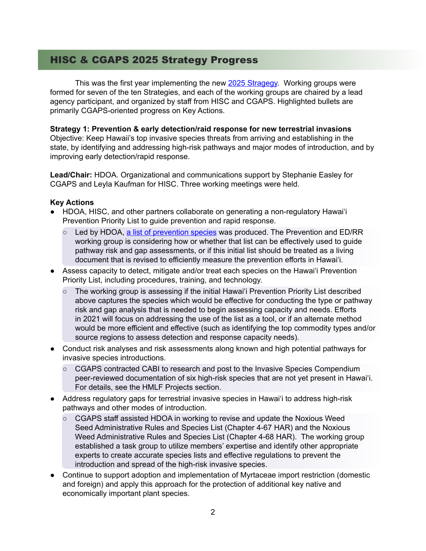# HISC & CGAPS 2025 Strategy Progress

This was the first year implementing the new 2025 [Stragegy.](https://www.cgaps.org/wp-content/uploads/HISC-CGAPS-2025-Strategies-final-compressed.pdf) Working groups were formed for seven of the ten Strategies, and each of the working groups are chaired by a lead agency participant, and organized by staff from HISC and CGAPS. Highlighted bullets are primarily CGAPS-oriented progress on Key Actions.

#### **Strategy 1: Prevention & early detection/raid response for new terrestrial invasions**

Objective: Keep Hawaii's top invasive species threats from arriving and establishing in the state, by identifying and addressing high-risk pathways and major modes of introduction, and by improving early detection/rapid response.

**Lead/Chair:** HDOA. Organizational and communications support by Stephanie Easley for CGAPS and Leyla Kaufman for HISC. Three working meetings were held.

- HDOA, HISC, and other partners collaborate on generating a non-regulatory Hawai'i Prevention Priority List to guide prevention and rapid response.
	- Led by HDOA, a list of [prevention](https://www.cgaps.org/wp-content/uploads/HI-Prevention-Priority-List_non-regulatory.pdf) species was produced. The Prevention and ED/RR working group is considering how or whether that list can be effectively used to guide pathway risk and gap assessments, or if this initial list should be treated as a living document that is revised to efficiently measure the prevention efforts in Hawai'i.
- Assess capacity to detect, mitigate and/or treat each species on the Hawai'i Prevention Priority List, including procedures, training, and technology.
	- $\circ$  The working group is assessing if the initial Hawai'i Prevention Priority List described above captures the species which would be effective for conducting the type or pathway risk and gap analysis that is needed to begin assessing capacity and needs. Efforts in 2021 will focus on addressing the use of the list as a tool, or if an alternate method would be more efficient and effective (such as identifying the top commodity types and/or source regions to assess detection and response capacity needs).
- Conduct risk analyses and risk assessments along known and high potential pathways for invasive species introductions.
	- CGAPS contracted CABI to research and post to the Invasive Species Compendium peer-reviewed documentation of six high-risk species that are not yet present in Hawaiʻi. For details, see the HMLF Projects section.
- Address regulatory gaps for terrestrial invasive species in Hawai'i to address high-risk pathways and other modes of introduction.
	- CGAPS staff assisted HDOA in working to revise and update the Noxious Weed Seed Administrative Rules and Species List (Chapter 4-67 HAR) and the Noxious Weed Administrative Rules and Species List (Chapter 4-68 HAR). The working group established a task group to utilize members' expertise and identify other appropriate experts to create accurate species lists and effective regulations to prevent the introduction and spread of the high-risk invasive species.
- Continue to support adoption and implementation of Myrtaceae import restriction (domestic and foreign) and apply this approach for the protection of additional key native and economically important plant species.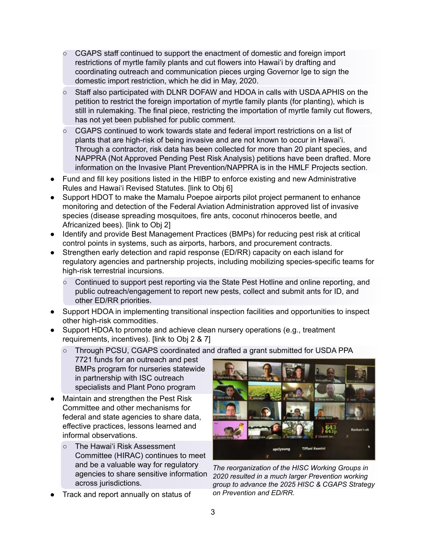- CGAPS staff continued to support the enactment of domestic and foreign import restrictions of myrtle family plants and cut flowers into Hawai'i by drafting and coordinating outreach and communication pieces urging Governor Ige to sign the domestic import restriction, which he did in May, 2020.
- Staff also participated with DLNR DOFAW and HDOA in calls with USDA APHIS on the petition to restrict the foreign importation of myrtle family plants (for planting), which is still in rulemaking. The final piece, restricting the importation of myrtle family cut flowers, has not yet been published for public comment.
- CGAPS continued to work towards state and federal import restrictions on a list of plants that are high-risk of being invasive and are not known to occur in Hawai'i. Through a contractor, risk data has been collected for more than 20 plant species, and NAPPRA (Not Approved Pending Pest Risk Analysis) petitions have been drafted. More information on the Invasive Plant Prevention/NAPPRA is in the HMLF Projects section.
- Fund and fill key positions listed in the HIBP to enforce existing and new Administrative Rules and Hawai'i Revised Statutes. [link to Obj 6]
- Support HDOT to make the Mamalu Poepoe airports pilot project permanent to enhance monitoring and detection of the Federal Aviation Administration approved list of invasive species (disease spreading mosquitoes, fire ants, coconut rhinoceros beetle, and Africanized bees). [link to Obj 2]
- Identify and provide Best Management Practices (BMPs) for reducing pest risk at critical control points in systems, such as airports, harbors, and procurement contracts.
- Strengthen early detection and rapid response (ED/RR) capacity on each island for regulatory agencies and partnership projects, including mobilizing species-specific teams for high-risk terrestrial incursions.
	- Continued to support pest reporting via the State Pest Hotline and online reporting, and public outreach/engagement to report new pests, collect and submit ants for ID, and other ED/RR priorities.
- Support HDOA in implementing transitional inspection facilities and opportunities to inspect other high-risk commodities.
- Support HDOA to promote and achieve clean nursery operations (e.g., treatment requirements, incentives). [link to Obj 2 & 7]
	- Through PCSU, CGAPS coordinated and drafted a grant submitted for USDA PPA
	- 7721 funds for an outreach and pest BMPs program for nurseries statewide in partnership with ISC outreach specialists and Plant Pono program
- Maintain and strengthen the Pest Risk Committee and other mechanisms for federal and state agencies to share data, effective practices, lessons learned and informal observations.
	- The Hawai'i Risk Assessment Committee (HIRAC) continues to meet and be a valuable way for regulatory agencies to share sensitive information across jurisdictions.
- Track and report annually on status of



*The reorganization of the HISC Working Groups in 2020 resulted in a much larger Prevention working group to advance the 2025 HISC & CGAPS Strategy on Prevention and ED/RR.*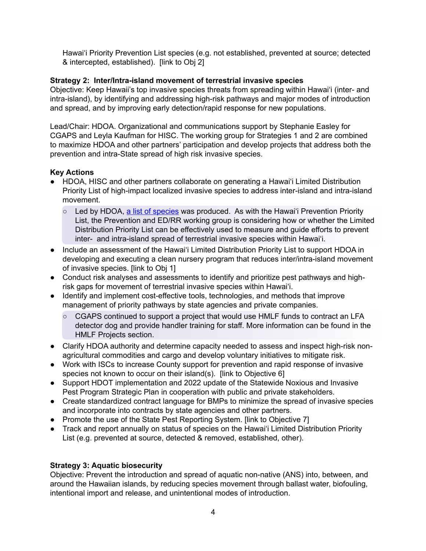Hawai'i Priority Prevention List species (e.g. not established, prevented at source; detected & intercepted, established). [link to Obj 2]

# **Strategy 2: Inter/Intra-island movement of terrestrial invasive species**

Objective: Keep Hawaii's top invasive species threats from spreading within Hawai'i (inter- and intra-island), by identifying and addressing high-risk pathways and major modes of introduction and spread, and by improving early detection/rapid response for new populations.

Lead/Chair: HDOA. Organizational and communications support by Stephanie Easley for CGAPS and Leyla Kaufman for HISC. The working group for Strategies 1 and 2 are combined to maximize HDOA and other partners' participation and develop projects that address both the prevention and intra-State spread of high risk invasive species.

# **Key Actions**

- HDOA, HISC and other partners collaborate on generating a Hawai'i Limited Distribution Priority List of high-impact localized invasive species to address inter-island and intra-island movement.
	- $\circ$  Led by HDOA, a list of [species](https://dlnr.hawaii.gov/hisc/files/2020/05/HI-Limited-Distribution-List_non-regulatory.pdf) was produced. As with the Hawai'i Prevention Priority List, the Prevention and ED/RR working group is considering how or whether the Limited Distribution Priority List can be effectively used to measure and guide efforts to prevent inter- and intra-island spread of terrestrial invasive species within Hawai'i.
- Include an assessment of the Hawai'i Limited Distribution Priority List to support HDOA in developing and executing a clean nursery program that reduces inter/intra-island movement of invasive species. [link to Obj 1]
- Conduct risk analyses and assessments to identify and prioritize pest pathways and highrisk gaps for movement of terrestrial invasive species within Hawai'i.
- Identify and implement cost-effective tools, technologies, and methods that improve management of priority pathways by state agencies and private companies.
	- $\circ$  CGAPS continued to support a project that would use HMLF funds to contract an LFA detector dog and provide handler training for staff. More information can be found in the HMLF Projects section.
- Clarify HDOA authority and determine capacity needed to assess and inspect high-risk nonagricultural commodities and cargo and develop voluntary initiatives to mitigate risk.
- Work with ISCs to increase County support for prevention and rapid response of invasive species not known to occur on their island(s). [link to Objective 6]
- Support HDOT implementation and 2022 update of the Statewide Noxious and Invasive Pest Program Strategic Plan in cooperation with public and private stakeholders.
- Create standardized contract language for BMPs to minimize the spread of invasive species and incorporate into contracts by state agencies and other partners.
- Promote the use of the State Pest Reporting System. [link to Objective 7]
- Track and report annually on status of species on the Hawai'i Limited Distribution Priority List (e.g. prevented at source, detected & removed, established, other).

# **Strategy 3: Aquatic biosecurity**

Objective: Prevent the introduction and spread of aquatic non-native (ANS) into, between, and around the Hawaiian islands, by reducing species movement through ballast water, biofouling, intentional import and release, and unintentional modes of introduction.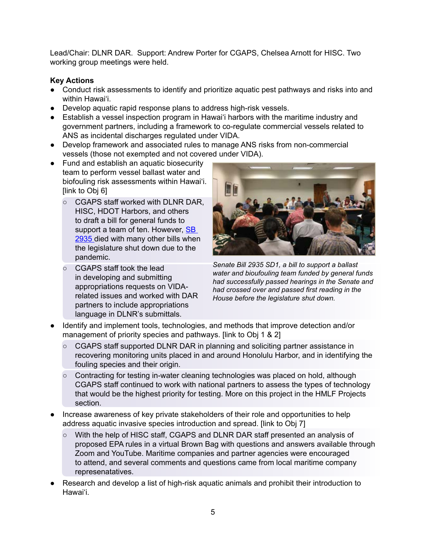Lead/Chair: DLNR DAR. Support: Andrew Porter for CGAPS, Chelsea Arnott for HISC. Two working group meetings were held.

- Conduct risk assessments to identify and prioritize aquatic pest pathways and risks into and within Hawai'i.
- Develop aquatic rapid response plans to address high-risk vessels.
- Establish a vessel inspection program in Hawai'i harbors with the maritime industry and government partners, including a framework to co-regulate commercial vessels related to ANS as incidental discharges regulated under VIDA.
- Develop framework and associated rules to manage ANS risks from non-commercial vessels (those not exempted and not covered under VIDA).
- Fund and establish an aquatic biosecurity team to perform vessel ballast water and biofouling risk assessments within Hawai'i. [link to Obj 6]
	- CGAPS staff worked with DLNR DAR, HISC, HDOT Harbors, and others to draft a bill for general funds to support a team of ten. However, [SB](https://www.capitol.hawaii.gov/Archives/measure_indiv_Archives.aspx?billtype=SB&billnumber=2935&year=2020) [2935](https://www.capitol.hawaii.gov/Archives/measure_indiv_Archives.aspx?billtype=SB&billnumber=2935&year=2020) died with many other bills when the legislature shut down due to the pandemic.
	- CGAPS staff took the lead in developing and submitting appropriations requests on VIDArelated issues and worked with DAR partners to include appropriations language in DLNR's submittals.



*Senate Bill 2935 SD1, a bill to support a ballast water and bioufouling team funded by general funds had successfully passed hearings in the Senate and had crossed over and passed first reading in the House before the legislature shut down.* 

- Identify and implement tools, technologies, and methods that improve detection and/or management of priority species and pathways. [link to Obj 1 & 2]
	- CGAPS staff supported DLNR DAR in planning and soliciting partner assistance in recovering monitoring units placed in and around Honolulu Harbor, and in identifying the fouling species and their origin.
	- $\circ$  Contracting for testing in-water cleaning technologies was placed on hold, although CGAPS staff continued to work with national partners to assess the types of technology that would be the highest priority for testing. More on this project in the HMLF Projects section.
- Increase awareness of key private stakeholders of their role and opportunities to help address aquatic invasive species introduction and spread. [link to Obj 7]
	- With the help of HISC staff, CGAPS and DLNR DAR staff presented an analysis of proposed EPA rules in a virtual Brown Bag with questions and answers available through Zoom and YouTube. Maritime companies and partner agencies were encouraged to attend, and several comments and questions came from local maritime company represenatatives.
- Research and develop a list of high-risk aquatic animals and prohibit their introduction to Hawai'i.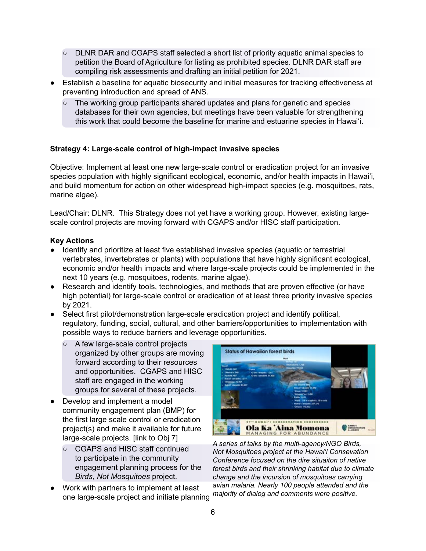- DLNR DAR and CGAPS staff selected a short list of priority aquatic animal species to petition the Board of Agriculture for listing as prohibited species. DLNR DAR staff are compiling risk assessments and drafting an initial petition for 2021.
- Establish a baseline for aquatic biosecurity and initial measures for tracking effectiveness at preventing introduction and spread of ANS.
	- The working group participants shared updates and plans for genetic and species databases for their own agencies, but meetings have been valuable for strengthening this work that could become the baseline for marine and estuarine species in Hawai'i.

# **Strategy 4: Large-scale control of high-impact invasive species**

Objective: Implement at least one new large-scale control or eradication project for an invasive species population with highly significant ecological, economic, and/or health impacts in Hawai'i, and build momentum for action on other widespread high-impact species (e.g. mosquitoes, rats, marine algae).

Lead/Chair: DLNR. This Strategy does not yet have a working group. However, existing largescale control projects are moving forward with CGAPS and/or HISC staff participation.

- Identify and prioritize at least five established invasive species (aquatic or terrestrial vertebrates, invertebrates or plants) with populations that have highly significant ecological, economic and/or health impacts and where large-scale projects could be implemented in the next 10 years (e.g. mosquitoes, rodents, marine algae).
- Research and identify tools, technologies, and methods that are proven effective (or have high potential) for large-scale control or eradication of at least three priority invasive species by 2021.
- Select first pilot/demonstration large-scale eradication project and identify political, regulatory, funding, social, cultural, and other barriers/opportunities to implementation with possible ways to reduce barriers and leverage opportunities.
	- A few large-scale control projects organized by other groups are moving forward according to their resources and opportunities. CGAPS and HISC staff are engaged in the working groups for several of these projects.
- Develop and implement a model community engagement plan (BMP) for the first large scale control or eradication project(s) and make it available for future large-scale projects. [link to Obj 7]
	- CGAPS and HISC staff continued to participate in the community engagement planning process for the *Birds, Not Mosquitoes* project.
- Work with partners to implement at least one large-scale project and initiate planning



*A series of talks by the multi-agency/NGO Birds, Not Mosquitoes project at the Hawai'i Consevation Conference focused on the dire situaiton of native forest birds and their shrinking habitat due to climate change and the incursion of mosquitoes carrying avian malaria. Nearly 100 people attended and the majority of dialog and comments were positive.*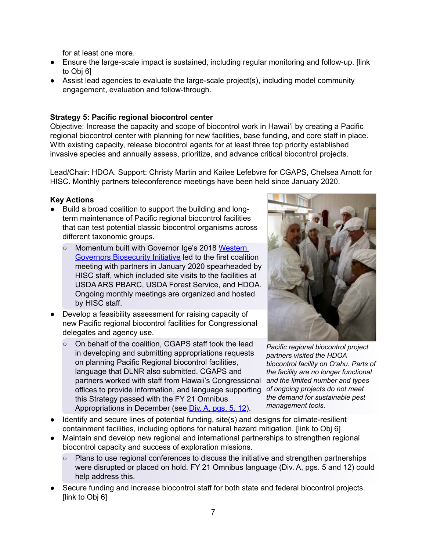for at least one more.

- Ensure the large-scale impact is sustained, including regular monitoring and follow-up. [link to Obj 6]
- Assist lead agencies to evaluate the large-scale project(s), including model community engagement, evaluation and follow-through.

# **Strategy 5: Pacific regional biocontrol center**

Objective: Increase the capacity and scope of biocontrol work in Hawai'i by creating a Pacific regional biocontrol center with planning for new facilities, base funding, and core staff in place. With existing capacity, release biocontrol agents for at least three top priority established invasive species and annually assess, prioritize, and advance critical biocontrol projects.

Lead/Chair: HDOA. Support: Christy Martin and Kailee Lefebvre for CGAPS, Chelsea Arnott for HISC. Monthly partners teleconference meetings have been held since January 2020.

- Build a broad coalition to support the building and longterm maintenance of Pacific regional biocontrol facilities that can test potential classic biocontrol organisms across different taxonomic groups.
	- Momentum built with Governor Ige's 2018 [Western](https://westgov.org/resolutions/article/wga-policy-resolution-2019-06-biosecurity-and-invasive-species-management) Governors [Biosecurity](https://westgov.org/resolutions/article/wga-policy-resolution-2019-06-biosecurity-and-invasive-species-management) Initiative led to the first coalition meeting with partners in January 2020 spearheaded by HISC staff, which included site visits to the facilities at USDA ARS PBARC, USDA Forest Service, and HDOA. Ongoing monthly meetings are organized and hosted by HISC staff.
- Develop a feasibility assessment for raising capacity of new Pacific regional biocontrol facilities for Congressional delegates and agency use.
	- On behalf of the coalition, CGAPS staff took the lead in developing and submitting appropriations requests on planning Pacific Regional biocontrol facilities, language that DLNR also submitted. CGAPS and partners worked with staff from Hawaii's Congressional *and the limited number and types*  offices to provide information, and language supporting this Strategy passed with the FY 21 Omnibus Appropriations in December (see Div. A, [pgs.](https://docs.house.gov/billsthisweek/20201221/BILLS-116RCP68-JES-DIVISION-A.pdf) 5, 12).



*Pacific regional biocontrol project partners visited the HDOA biocontrol facility on O'ahu. Parts of the facility are no longer functional of ongoing projects do not meet the demand for sustainable pest management tools.* 

- Identify and secure lines of potential funding, site(s) and designs for climate-resilient containment facilities, including options for natural hazard mitigation. [link to Obj 6]
- Maintain and develop new regional and international partnerships to strengthen regional biocontrol capacity and success of exploration missions.
	- Plans to use regional conferences to discuss the initiative and strengthen partnerships were disrupted or placed on hold. FY 21 Omnibus language (Div. A, pgs. 5 and 12) could help address this.
- Secure funding and increase biocontrol staff for both state and federal biocontrol projects. [link to Obj 6]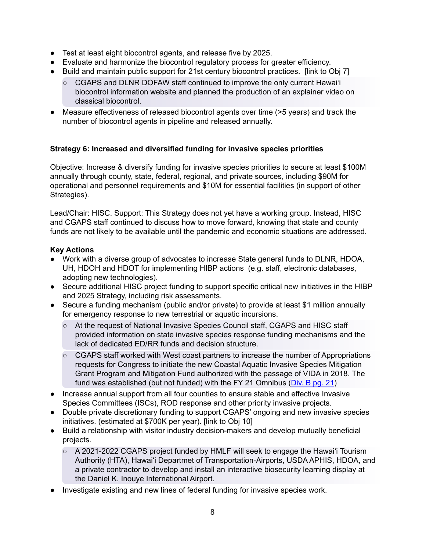- Test at least eight biocontrol agents, and release five by 2025.
- Evaluate and harmonize the biocontrol regulatory process for greater efficiency.
- Build and maintain public support for 21st century biocontrol practices. [link to Obj 7]
	- CGAPS and DLNR DOFAW staff continued to improve the only current Hawai'i biocontrol information website and planned the production of an explainer video on classical biocontrol.
- Measure effectiveness of released biocontrol agents over time ( $>5$  years) and track the number of biocontrol agents in pipeline and released annually.

# **Strategy 6: Increased and diversified funding for invasive species priorities**

Objective: Increase & diversify funding for invasive species priorities to secure at least \$100M annually through county, state, federal, regional, and private sources, including \$90M for operational and personnel requirements and \$10M for essential facilities (in support of other Strategies).

Lead/Chair: HISC. Support: This Strategy does not yet have a working group. Instead, HISC and CGAPS staff continued to discuss how to move forward, knowing that state and county funds are not likely to be available until the pandemic and economic situations are addressed.

- Work with a diverse group of advocates to increase State general funds to DLNR, HDOA, UH, HDOH and HDOT for implementing HIBP actions (e.g. staff, electronic databases, adopting new technologies).
- Secure additional HISC project funding to support specific critical new initiatives in the HIBP and 2025 Strategy, including risk assessments.
- Secure a funding mechanism (public and/or private) to provide at least \$1 million annually for emergency response to new terrestrial or aquatic incursions.
	- At the request of National Invasive Species Council staff, CGAPS and HISC staff provided information on state invasive species response funding mechanisms and the lack of dedicated ED/RR funds and decision structure.
	- CGAPS staff worked with West coast partners to increase the number of Appropriations requests for Congress to initiate the new Coastal Aquatic Invasive Species Mitigation Grant Program and Mitigation Fund authorized with the passage of VIDA in 2018. The fund was established (but not funded) with the FY 21 Omnibus [\(Div.](https://docs.house.gov/billsthisweek/20201221/BILLS-116RCP68-JES-DIVISION-B.pdf) B pg. 21)
- Increase annual support from all four counties to ensure stable and effective Invasive Species Committees (ISCs), ROD response and other priority invasive projects.
- Double private discretionary funding to support CGAPS' ongoing and new invasive species initiatives. (estimated at \$700K per year). [link to Obj 10]
- Build a relationship with visitor industry decision-makers and develop mutually beneficial projects.
	- $\circ$  A 2021-2022 CGAPS project funded by HMLF will seek to engage the Hawai'i Tourism Authority (HTA), Hawai'i Departmet of Transportation-Airports, USDA APHIS, HDOA, and a private contractor to develop and install an interactive biosecurity learning display at the Daniel K. Inouye International Airport.
- Investigate existing and new lines of federal funding for invasive species work.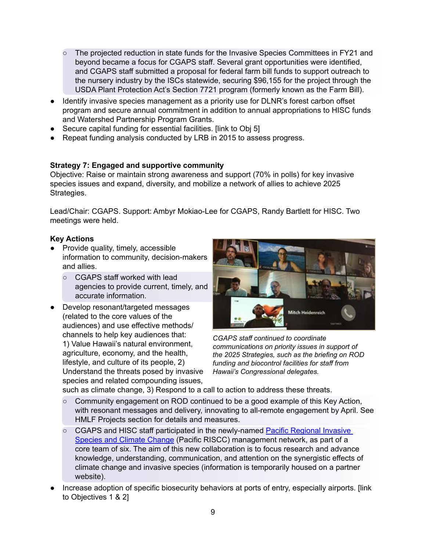- The projected reduction in state funds for the Invasive Species Committees in FY21 and beyond became a focus for CGAPS staff. Several grant opportunities were identified, and CGAPS staff submitted a proposal for federal farm bill funds to support outreach to the nursery industry by the ISCs statewide, securing \$96,155 for the project through the USDA Plant Protection Act's Section 7721 program (formerly known as the Farm Bill).
- Identify invasive species management as a priority use for DLNR's forest carbon offset program and secure annual commitment in addition to annual appropriations to HISC funds and Watershed Partnership Program Grants.
- Secure capital funding for essential facilities. [link to Obj 5]
- Repeat funding analysis conducted by LRB in 2015 to assess progress.

# **Strategy 7: Engaged and supportive community**

Objective: Raise or maintain strong awareness and support (70% in polls) for key invasive species issues and expand, diversity, and mobilize a network of allies to achieve 2025 Strategies.

Lead/Chair: CGAPS. Support: Ambyr Mokiao-Lee for CGAPS, Randy Bartlett for HISC. Two meetings were held.

#### **Key Actions**

- Provide quality, timely, accessible information to community, decision-makers and allies.
	- CGAPS staff worked with lead agencies to provide current, timely, and accurate information.
- Develop resonant/targeted messages (related to the core values of the audiences) and use effective methods/ channels to help key audiences that: 1) Value Hawaii's natural environment, agriculture, economy, and the health, lifestyle, and culture of its people, 2) Understand the threats posed by invasive species and related compounding issues,



*CGAPS staff continued to coordinate communications on priority issues in support of the 2025 Strategies, such as the briefing on ROD funding and biocontrol facilities for staff from Hawaii's Congressional delegates.*

such as climate change, 3) Respond to a call to action to address these threats.

- $\circ$  Community engagement on ROD continued to be a good example of this Key Action, with resonant messages and delivery, innovating to all-remote engagement by April. See HMLF Projects section for details and measures.
- CGAPS and HISC staff participated in the newly-named Pacific [Regional](https://pi-casc.soest.hawaii.edu/about/pacific-riscc/) Invasive [Species](https://pi-casc.soest.hawaii.edu/about/pacific-riscc/) and Climate Change (Pacific RISCC) management network, as part of a core team of six. The aim of this new collaboration is to focus research and advance knowledge, understanding, communication, and attention on the synergistic effects of climate change and invasive species (information is temporarily housed on a partner website).
- Increase adoption of specific biosecurity behaviors at ports of entry, especially airports. [link to Objectives 1 & 2]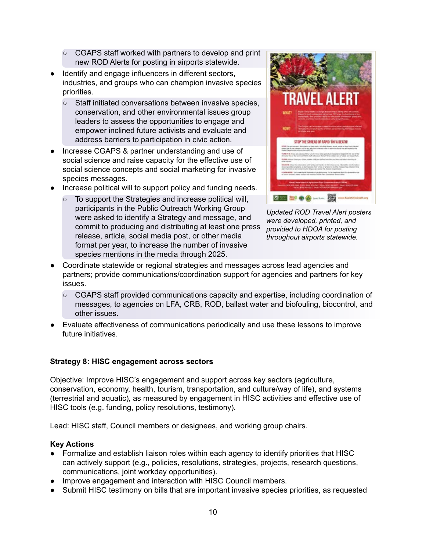- CGAPS staff worked with partners to develop and print new ROD Alerts for posting in airports statewide.
- Identify and engage influencers in different sectors, industries, and groups who can champion invasive species priorities.
	- Staff initiated conversations between invasive species, conservation, and other environmental issues group leaders to assess the opportunities to engage and empower inclined future activists and evaluate and address barriers to participation in civic action.
- Increase CGAPS & partner understanding and use of social science and raise capacity for the effective use of social science concepts and social marketing for invasive species messages.
- Increase political will to support policy and funding needs.
	- To support the Strategies and increase political will, participants in the Public Outreach Working Group were asked to identify a Strategy and message, and commit to producing and distributing at least one press release, article, social media post, or other media format per year, to increase the number of invasive species mentions in the media through 2025.



*Updated ROD Travel Alert posters were developed, printed, and provided to HDOA for posting throughout airports statewide.*

- Coordinate statewide or regional strategies and messages across lead agencies and partners; provide communications/coordination support for agencies and partners for key issues.
	- CGAPS staff provided communications capacity and expertise, including coordination of messages, to agencies on LFA, CRB, ROD, ballast water and biofouling, biocontrol, and other issues.
- Evaluate effectiveness of communications periodically and use these lessons to improve future initiatives.

# **Strategy 8: HISC engagement across sectors**

Objective: Improve HISC's engagement and support across key sectors (agriculture, conservation, economy, health, tourism, transportation, and culture/way of life), and systems (terrestrial and aquatic), as measured by engagement in HISC activities and effective use of HISC tools (e.g. funding, policy resolutions, testimony).

Lead: HISC staff, Council members or designees, and working group chairs.

- Formalize and establish liaison roles within each agency to identify priorities that HISC can actively support (e.g., policies, resolutions, strategies, projects, research questions, communications, joint workday opportunities).
- Improve engagement and interaction with HISC Council members.
- Submit HISC testimony on bills that are important invasive species priorities, as requested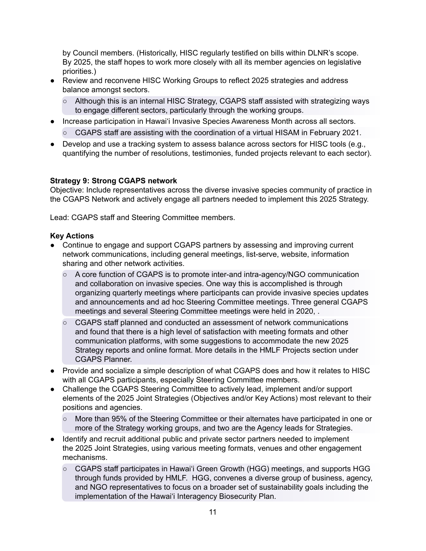by Council members. (Historically, HISC regularly testified on bills within DLNR's scope. By 2025, the staff hopes to work more closely with all its member agencies on legislative priorities.)

- Review and reconvene HISC Working Groups to reflect 2025 strategies and address balance amongst sectors.
	- Although this is an internal HISC Strategy, CGAPS staff assisted with strategizing ways to engage different sectors, particularly through the working groups.
- Increase participation in Hawai'i Invasive Species Awareness Month across all sectors.
	- $\circ$  CGAPS staff are assisting with the coordination of a virtual HISAM in February 2021.
- Develop and use a tracking system to assess balance across sectors for HISC tools (e.g., quantifying the number of resolutions, testimonies, funded projects relevant to each sector).

#### **Strategy 9: Strong CGAPS network**

Objective: Include representatives across the diverse invasive species community of practice in the CGAPS Network and actively engage all partners needed to implement this 2025 Strategy.

Lead: CGAPS staff and Steering Committee members.

- Continue to engage and support CGAPS partners by assessing and improving current network communications, including general meetings, list-serve, website, information sharing and other network activities.
	- A core function of CGAPS is to promote inter-and intra-agency/NGO communication and collaboration on invasive species. One way this is accomplished is through organizing quarterly meetings where participants can provide invasive species updates and announcements and ad hoc Steering Committee meetings. Three general CGAPS meetings and several Steering Committee meetings were held in 2020, .
	- CGAPS staff planned and conducted an assessment of network communications and found that there is a high level of satisfaction with meeting formats and other communication platforms, with some suggestions to accommodate the new 2025 Strategy reports and online format. More details in the HMLF Projects section under CGAPS Planner.
- Provide and socialize a simple description of what CGAPS does and how it relates to HISC with all CGAPS participants, especially Steering Committee members.
- Challenge the CGAPS Steering Committee to actively lead, implement and/or support elements of the 2025 Joint Strategies (Objectives and/or Key Actions) most relevant to their positions and agencies.
	- More than 95% of the Steering Committee or their alternates have participated in one or more of the Strategy working groups, and two are the Agency leads for Strategies.
- Identify and recruit additional public and private sector partners needed to implement the 2025 Joint Strategies, using various meeting formats, venues and other engagement mechanisms.
	- CGAPS staff participates in Hawai'i Green Growth (HGG) meetings, and supports HGG through funds provided by HMLF. HGG, convenes a diverse group of business, agency, and NGO representatives to focus on a broader set of sustainability goals including the implementation of the Hawai'i Interagency Biosecurity Plan.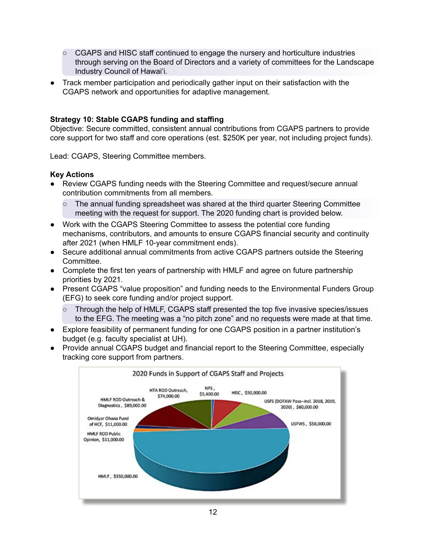- CGAPS and HISC staff continued to engage the nursery and horticulture industries through serving on the Board of Directors and a variety of committees for the Landscape Industry Council of Hawai'i.
- Track member participation and periodically gather input on their satisfaction with the CGAPS network and opportunities for adaptive management.

#### **Strategy 10: Stable CGAPS funding and staffing**

Objective: Secure committed, consistent annual contributions from CGAPS partners to provide core support for two staff and core operations (est. \$250K per year, not including project funds).

Lead: CGAPS, Steering Committee members.

- Review CGAPS funding needs with the Steering Committee and request/secure annual contribution commitments from all members.
	- The annual funding spreadsheet was shared at the third quarter Steering Committee meeting with the request for support. The 2020 funding chart is provided below.
- Work with the CGAPS Steering Committee to assess the potential core funding mechanisms, contributors, and amounts to ensure CGAPS financial security and continuity after 2021 (when HMLF 10-year commitment ends).
- Secure additional annual commitments from active CGAPS partners outside the Steering Committee.
- Complete the first ten years of partnership with HMLF and agree on future partnership priorities by 2021.
- Present CGAPS "value proposition" and funding needs to the Environmental Funders Group (EFG) to seek core funding and/or project support.
	- Through the help of HMLF, CGAPS staff presented the top five invasive species/issues to the EFG. The meeting was a "no pitch zone" and no requests were made at that time.
- Explore feasibility of permanent funding for one CGAPS position in a partner institution's budget (e.g. faculty specialist at UH).
- Provide annual CGAPS budget and financial report to the Steering Committee, especially tracking core support from partners.

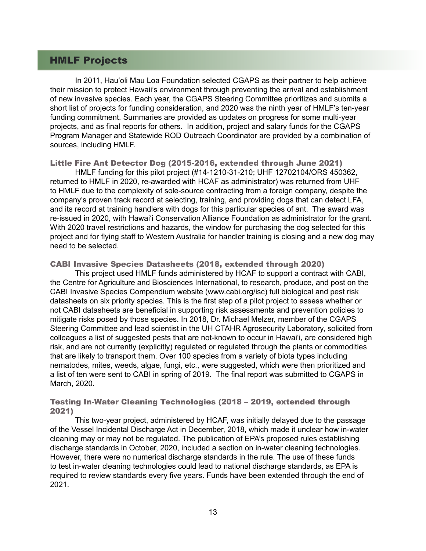# HMLF Projects

 In 2011, Hau'oli Mau Loa Foundation selected CGAPS as their partner to help achieve their mission to protect Hawaii's environment through preventing the arrival and establishment of new invasive species. Each year, the CGAPS Steering Committee prioritizes and submits a short list of projects for funding consideration, and 2020 was the ninth year of HMLF's ten-year funding commitment. Summaries are provided as updates on progress for some multi-year projects, and as final reports for others. In addition, project and salary funds for the CGAPS Program Manager and Statewide ROD Outreach Coordinator are provided by a combination of sources, including HMLF.

#### Little Fire Ant Detector Dog (2015-2016, extended through June 2021)

 HMLF funding for this pilot project (#14-1210-31-210; UHF 12702104/ORS 450362, returned to HMLF in 2020, re-awarded with HCAF as administrator) was returned from UHF to HMLF due to the complexity of sole-source contracting from a foreign company, despite the company's proven track record at selecting, training, and providing dogs that can detect LFA, and its record at training handlers with dogs for this particular species of ant. The award was re-issued in 2020, with Hawai'i Conservation Alliance Foundation as administrator for the grant. With 2020 travel restrictions and hazards, the window for purchasing the dog selected for this project and for flying staff to Western Australia for handler training is closing and a new dog may need to be selected.

#### CABI Invasive Species Datasheets (2018, extended through 2020)

 This project used HMLF funds administered by HCAF to support a contract with CABI, the Centre for Agriculture and Biosciences International, to research, produce, and post on the CABI Invasive Species Compendium website (www.cabi.org/isc) full biological and pest risk datasheets on six priority species. This is the first step of a pilot project to assess whether or not CABI datasheets are beneficial in supporting risk assessments and prevention policies to mitigate risks posed by those species. In 2018, Dr. Michael Melzer, member of the CGAPS Steering Committee and lead scientist in the UH CTAHR Agrosecurity Laboratory, solicited from colleagues a list of suggested pests that are not-known to occur in Hawai'i, are considered high risk, and are not currently (explicitly) regulated or regulated through the plants or commodities that are likely to transport them. Over 100 species from a variety of biota types including nematodes, mites, weeds, algae, fungi, etc., were suggested, which were then prioritized and a list of ten were sent to CABI in spring of 2019. The final report was submitted to CGAPS in March, 2020.

### Testing In-Water Cleaning Technologies (2018 – 2019, extended through 2021)

 This two-year project, administered by HCAF, was initially delayed due to the passage of the Vessel Incidental Discharge Act in December, 2018, which made it unclear how in-water cleaning may or may not be regulated. The publication of EPA's proposed rules establishing discharge standards in October, 2020, included a section on in-water cleaning technologies. However, there were no numerical discharge standards in the rule. The use of these funds to test in-water cleaning technologies could lead to national discharge standards, as EPA is required to review standards every five years. Funds have been extended through the end of 2021.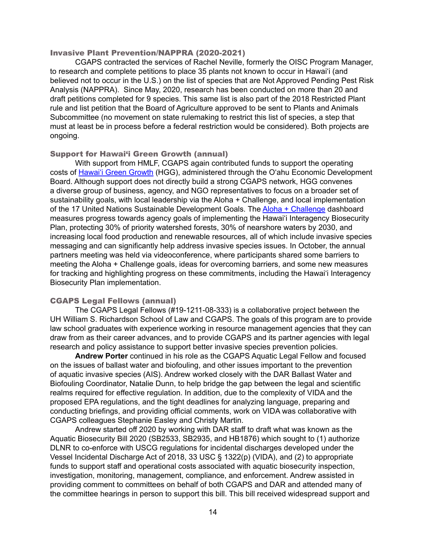#### Invasive Plant Prevention/NAPPRA (2020-2021)

 CGAPS contracted the services of Rachel Neville, formerly the OISC Program Manager, to research and complete petitions to place 35 plants not known to occur in Hawai'i (and believed not to occur in the U.S.) on the list of species that are Not Approved Pending Pest Risk Analysis (NAPPRA). Since May, 2020, research has been conducted on more than 20 and draft petitions completed for 9 species. This same list is also part of the 2018 Restricted Plant rule and list petition that the Board of Agriculture approved to be sent to Plants and Animals Subcommittee (no movement on state rulemaking to restrict this list of species, a step that must at least be in process before a federal restriction would be considered). Both projects are ongoing.

#### Support for Hawai'i Green Growth (annual)

 With support from HMLF, CGAPS again contributed funds to support the operating costs of Hawai'i Green [Growth](https://www.hawaiigreengrowth.org/) (HGG), administered through the O'ahu Economic Development Board. Although support does not directly build a strong CGAPS network, HGG convenes a diverse group of business, agency, and NGO representatives to focus on a broader set of sustainability goals, with local leadership via the Aloha + Challenge, and local implementation of the 17 United Nations Sustainable Development Goals. The Aloha + [Challenge](https://alohachallenge.hawaii.gov/) dashboard measures progress towards agency goals of implementing the Hawai'i Interagency Biosecurity Plan, protecting 30% of priority watershed forests, 30% of nearshore waters by 2030, and increasing local food production and renewable resources, all of which include invasive species messaging and can significantly help address invasive species issues. In October, the annual partners meeting was held via videoconference, where participants shared some barriers to meeting the Aloha + Challenge goals, ideas for overcoming barriers, and some new measures for tracking and highlighting progress on these commitments, including the Hawai'i Interagency Biosecurity Plan implementation.

#### CGAPS Legal Fellows (annual)

 The CGAPS Legal Fellows (#19-1211-08-333) is a collaborative project between the UH William S. Richardson School of Law and CGAPS. The goals of this program are to provide law school graduates with experience working in resource management agencies that they can draw from as their career advances, and to provide CGAPS and its partner agencies with legal research and policy assistance to support better invasive species prevention policies.

**Andrew Porter** continued in his role as the CGAPS Aquatic Legal Fellow and focused on the issues of ballast water and biofouling, and other issues important to the prevention of aquatic invasive species (AIS). Andrew worked closely with the DAR Ballast Water and Biofouling Coordinator, Natalie Dunn, to help bridge the gap between the legal and scientific realms required for effective regulation. In addition, due to the complexity of VIDA and the proposed EPA regulations, and the tight deadlines for analyzing language, preparing and conducting briefings, and providing official comments, work on VIDA was collaborative with CGAPS colleagues Stephanie Easley and Christy Martin.

 Andrew started off 2020 by working with DAR staff to draft what was known as the Aquatic Biosecurity Bill 2020 (SB2533, SB2935, and HB1876) which sought to (1) authorize DLNR to co-enforce with USCG regulations for incidental discharges developed under the Vessel Incidental Discharge Act of 2018, 33 USC § 1322(p) (VIDA), and (2) to appropriate funds to support staff and operational costs associated with aquatic biosecurity inspection, investigation, monitoring, management, compliance, and enforcement. Andrew assisted in providing comment to committees on behalf of both CGAPS and DAR and attended many of the committee hearings in person to support this bill. This bill received widespread support and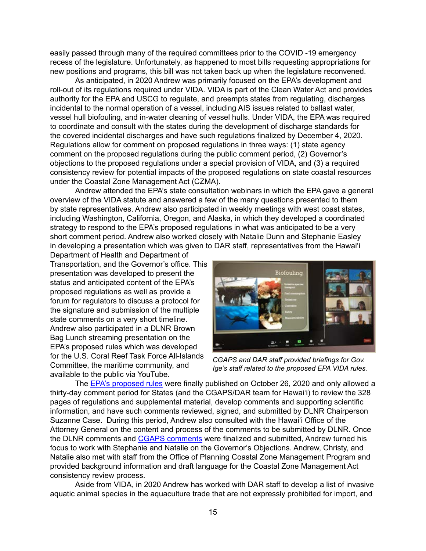easily passed through many of the required committees prior to the COVID -19 emergency recess of the legislature. Unfortunately, as happened to most bills requesting appropriations for new positions and programs, this bill was not taken back up when the legislature reconvened.

 As anticipated, in 2020 Andrew was primarily focused on the EPA's development and roll-out of its regulations required under VIDA. VIDA is part of the Clean Water Act and provides authority for the EPA and USCG to regulate, and preempts states from regulating, discharges incidental to the normal operation of a vessel, including AIS issues related to ballast water, vessel hull biofouling, and in-water cleaning of vessel hulls. Under VIDA, the EPA was required to coordinate and consult with the states during the development of discharge standards for the covered incidental discharges and have such regulations finalized by December 4, 2020. Regulations allow for comment on proposed regulations in three ways: (1) state agency comment on the proposed regulations during the public comment period, (2) Governor's objections to the proposed regulations under a special provision of VIDA, and (3) a required consistency review for potential impacts of the proposed regulations on state coastal resources under the Coastal Zone Management Act (CZMA).

 Andrew attended the EPA's state consultation webinars in which the EPA gave a general overview of the VIDA statute and answered a few of the many questions presented to them by state representatives. Andrew also participated in weekly meetings with west coast states, including Washington, California, Oregon, and Alaska, in which they developed a coordinated strategy to respond to the EPA's proposed regulations in what was anticipated to be a very short comment period. Andrew also worked closely with Natalie Dunn and Stephanie Easley in developing a presentation which was given to DAR staff, representatives from the Hawai'i

Department of Health and Department of Transportation, and the Governor's office. This presentation was developed to present the status and anticipated content of the EPA's proposed regulations as well as provide a forum for regulators to discuss a protocol for the signature and submission of the multiple state comments on a very short timeline. Andrew also participated in a DLNR Brown Bag Lunch streaming presentation on the EPA's proposed rules which was developed for the U.S. Coral Reef Task Force All-Islands Committee, the maritime community, and available to the public via YouTube.



*CGAPS and DAR staff provided briefings for Gov. Ige's staff related to the proposed EPA VIDA rules.*

 The EPA's [proposed](https://www.federalregister.gov/documents/2020/10/26/2020-22385/vessel-incidental-discharge-national-standards-of-performance) rules were finally published on October 26, 2020 and only allowed a thirty-day comment period for States (and the CGAPS/DAR team for Hawai'i) to review the 328 pages of regulations and supplemental material, develop comments and supporting scientific information, and have such comments reviewed, signed, and submitted by DLNR Chairperson Suzanne Case. During this period, Andrew also consulted with the Hawai'i Office of the Attorney General on the content and process of the comments to be submitted by DLNR. Once the DLNR comments and CGAPS [comments](https://beta.regulations.gov/comment/EPA-HQ-OW-2019-0482-0669) were finalized and submitted, Andrew turned his focus to work with Stephanie and Natalie on the Governor's Objections. Andrew, Christy, and Natalie also met with staff from the Office of Planning Coastal Zone Management Program and provided background information and draft language for the Coastal Zone Management Act consistency review process.

 Aside from VIDA, in 2020 Andrew has worked with DAR staff to develop a list of invasive aquatic animal species in the aquaculture trade that are not expressly prohibited for import, and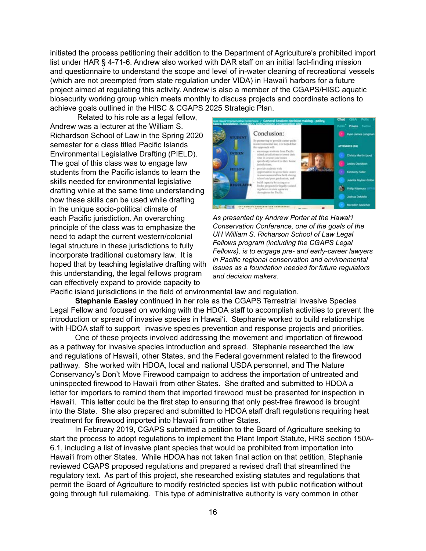initiated the process petitioning their addition to the Department of Agriculture's prohibited import list under HAR § 4-71-6. Andrew also worked with DAR staff on an initial fact-finding mission and questionnaire to understand the scope and level of in-water cleaning of recreational vessels (which are not preempted from state regulation under VIDA) in Hawai'i harbors for a future project aimed at regulating this activity. Andrew is also a member of the CGAPS/HISC aquatic biosecurity working group which meets monthly to discuss projects and coordinate actions to achieve goals outlined in the HISC & CGAPS 2025 Strategic Plan.

 Related to his role as a legal fellow, Andrew was a lecturer at the William S. Richardson School of Law in the Spring 2020 semester for a class titled Pacific Islands Environmental Legislative Drafting (PIELD). The goal of this class was to engage law students from the Pacific islands to learn the skills needed for environmental legislative drafting while at the same time understanding how these skills can be used while drafting in the unique socio-political climate of each Pacific jurisdiction. An overarching principle of the class was to emphasize the need to adapt the current western/colonial legal structure in these jurisdictions to fully incorporate traditional customary law. It is hoped that by teaching legislative drafting with this understanding, the legal fellows program can effectively expand to provide capacity to



*As presented by Andrew Porter at the Hawai'i Conservation Conference, one of the goals of the UH William S. Richarson School of Law Legal Fellows program (including the CGAPS Legal Fellows), is to engage pre- and early-career lawyers in Pacific regional conservation and environmental issues as a foundation needed for future regulators and decision makers.*

Pacific island jurisdictions in the field of environmental law and regulation.

**Stephanie Easley** continued in her role as the CGAPS Terrestrial Invasive Species Legal Fellow and focused on working with the HDOA staff to accomplish activities to prevent the introduction or spread of invasive species in Hawai'i. Stephanie worked to build relationships with HDOA staff to support invasive species prevention and response projects and priorities.

 One of these projects involved addressing the movement and importation of firewood as a pathway for invasive species introduction and spread. Stephanie researched the law and regulations of Hawai'i, other States, and the Federal government related to the firewood pathway. She worked with HDOA, local and national USDA personnel, and The Nature Conservancy's Don't Move Firewood campaign to address the importation of untreated and uninspected firewood to Hawai'i from other States. She drafted and submitted to HDOA a letter for importers to remind them that imported firewood must be presented for inspection in Hawai'i. This letter could be the first step to ensuring that only pest-free firewood is brought into the State. She also prepared and submitted to HDOA staff draft regulations requiring heat treatment for firewood imported into Hawai'i from other States.

 In February 2019, CGAPS submitted a petition to the Board of Agriculture seeking to start the process to adopt regulations to implement the Plant Import Statute, HRS section 150A-6.1, including a list of invasive plant species that would be prohibited from importation into Hawai'i from other States. While HDOA has not taken final action on that petition, Stephanie reviewed CGAPS proposed regulations and prepared a revised draft that streamlined the regulatory text. As part of this project, she researched existing statutes and regulations that permit the Board of Agriculture to modify restricted species list with public notification without going through full rulemaking. This type of administrative authority is very common in other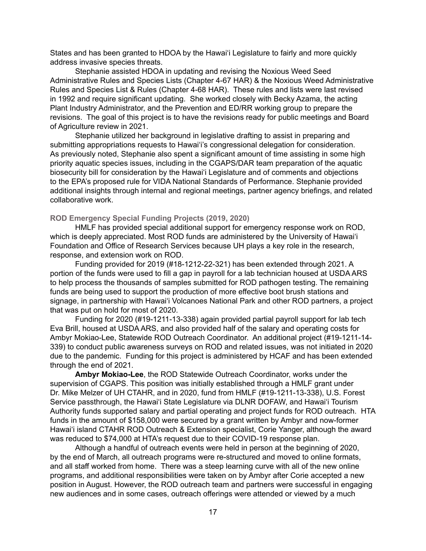States and has been granted to HDOA by the Hawai'i Legislature to fairly and more quickly address invasive species threats.

 Stephanie assisted HDOA in updating and revising the Noxious Weed Seed Administrative Rules and Species Lists (Chapter 4-67 HAR) & the Noxious Weed Administrative Rules and Species List & Rules (Chapter 4-68 HAR). These rules and lists were last revised in 1992 and require significant updating. She worked closely with Becky Azama, the acting Plant Industry Administrator, and the Prevention and ED/RR working group to prepare the revisions. The goal of this project is to have the revisions ready for public meetings and Board of Agriculture review in 2021.

 Stephanie utilized her background in legislative drafting to assist in preparing and submitting appropriations requests to Hawai'i's congressional delegation for consideration. As previously noted, Stephanie also spent a significant amount of time assisting in some high priority aquatic species issues, including in the CGAPS/DAR team preparation of the aquatic biosecurity bill for consideration by the Hawai'i Legislature and of comments and objections to the EPA's proposed rule for VIDA National Standards of Performance. Stephanie provided additional insights through internal and regional meetings, partner agency briefings, and related collaborative work.

#### **ROD Emergency Special Funding Projects (2019, 2020)**

 HMLF has provided special additional support for emergency response work on ROD, which is deeply appreciated. Most ROD funds are administered by the University of Hawai'i Foundation and Office of Research Services because UH plays a key role in the research, response, and extension work on ROD.

 Funding provided for 2019 (#18-1212-22-321) has been extended through 2021. A portion of the funds were used to fill a gap in payroll for a lab technician housed at USDA ARS to help process the thousands of samples submitted for ROD pathogen testing. The remaining funds are being used to support the production of more effective boot brush stations and signage, in partnership with Hawai'i Volcanoes National Park and other ROD partners, a project that was put on hold for most of 2020.

 Funding for 2020 (#19-1211-13-338) again provided partial payroll support for lab tech Eva Brill, housed at USDA ARS, and also provided half of the salary and operating costs for Ambyr Mokiao-Lee, Statewide ROD Outreach Coordinator. An additional project (#19-1211-14- 339) to conduct public awareness surveys on ROD and related issues, was not initiated in 2020 due to the pandemic. Funding for this project is administered by HCAF and has been extended through the end of 2021.

**Ambyr Mokiao-Lee**, the ROD Statewide Outreach Coordinator, works under the supervision of CGAPS. This position was initially established through a HMLF grant under Dr. Mike Melzer of UH CTAHR, and in 2020, fund from HMLF (#19-1211-13-338), U.S. Forest Service passthrough, the Hawai'i State Legislature via DLNR DOFAW, and Hawai'i Tourism Authority funds supported salary and partial operating and project funds for ROD outreach. HTA funds in the amount of \$158,000 were secured by a grant written by Ambyr and now-former Hawai'i island CTAHR ROD Outreach & Extension specialist, Corie Yanger, although the award was reduced to \$74,000 at HTA's request due to their COVID-19 response plan.

 Although a handful of outreach events were held in person at the beginning of 2020, by the end of March, all outreach programs were re-structured and moved to online formats, and all staff worked from home. There was a steep learning curve with all of the new online programs, and additional responsibilities were taken on by Ambyr after Corie accepted a new position in August. However, the ROD outreach team and partners were successful in engaging new audiences and in some cases, outreach offerings were attended or viewed by a much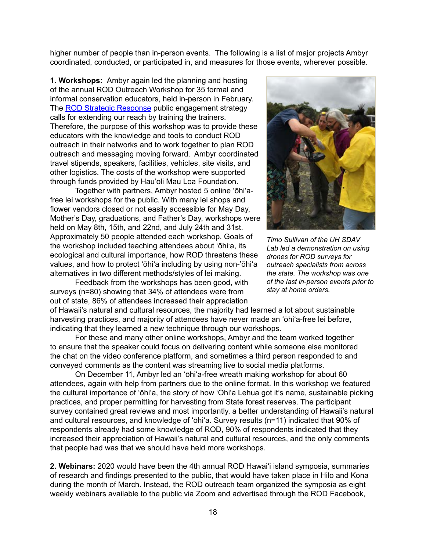higher number of people than in-person events. The following is a list of major projects Ambyr coordinated, conducted, or participated in, and measures for those events, wherever possible.

**1. Workshops:** Ambyr again led the planning and hosting of the annual ROD Outreach Workshop for 35 formal and informal conservation educators, held in-person in February. The ROD Strategic [Response](https://gms.ctahr.hawaii.edu/gs/handler/getmedia.ashx?moid=66598&dt=3&g=12) public engagement strategy calls for extending our reach by training the trainers. Therefore, the purpose of this workshop was to provide these educators with the knowledge and tools to conduct ROD outreach in their networks and to work together to plan ROD outreach and messaging moving forward. Ambyr coordinated travel stipends, speakers, facilities, vehicles, site visits, and other logistics. The costs of the workshop were supported through funds provided by Hau'oli Mau Loa Foundation.

 Together with partners, Ambyr hosted 5 online 'ōhi'afree lei workshops for the public. With many lei shops and flower vendors closed or not easily accessible for May Day, Mother's Day, graduations, and Father's Day, workshops were held on May 8th, 15th, and 22nd, and July 24th and 31st. Approximately 50 people attended each workshop. Goals of the workshop included teaching attendees about 'ōhi'a, its ecological and cultural importance, how ROD threatens these values, and how to protect 'ōhi'a including by using non-'ōhi'a alternatives in two different methods/styles of lei making. 

 Feedback from the workshops has been good, with surveys (n=80) showing that 34% of attendees were from out of state, 86% of attendees increased their appreciation



*Timo Sullivan of the UH SDAV Lab led a demonstration on using drones for ROD surveys for outreach specialists from across the state. The workshop was one of the last in-person events prior to stay at home orders.*

of Hawaii's natural and cultural resources, the majority had learned a lot about sustainable harvesting practices, and majority of attendees have never made an 'ōhi'a-free lei before, indicating that they learned a new technique through our workshops.

 For these and many other online workshops, Ambyr and the team worked together to ensure that the speaker could focus on delivering content while someone else monitored the chat on the video conference platform, and sometimes a third person responded to and conveyed comments as the content was streaming live to social media platforms.

 On December 11, Ambyr led an 'ōhi'a-free wreath making workshop for about 60 attendees, again with help from partners due to the online format. In this workshop we featured the cultural importance of 'ōhi'a, the story of how 'Ōhi'a Lehua got it's name, sustainable picking practices, and proper permitting for harvesting from State forest reserves. The participant survey contained great reviews and most importantly, a better understanding of Hawaii's natural and cultural resources, and knowledge of 'ōhi'a. Survey results (n=11) indicated that 90% of respondents already had some knowledge of ROD, 90% of respondents indicated that they increased their appreciation of Hawaii's natural and cultural resources, and the only comments that people had was that we should have held more workshops.

**2. Webinars:** 2020 would have been the 4th annual ROD Hawai'i island symposia, summaries of research and findings presented to the public, that would have taken place in Hilo and Kona during the month of March. Instead, the ROD outreach team organized the symposia as eight weekly webinars available to the public via Zoom and advertised through the ROD Facebook,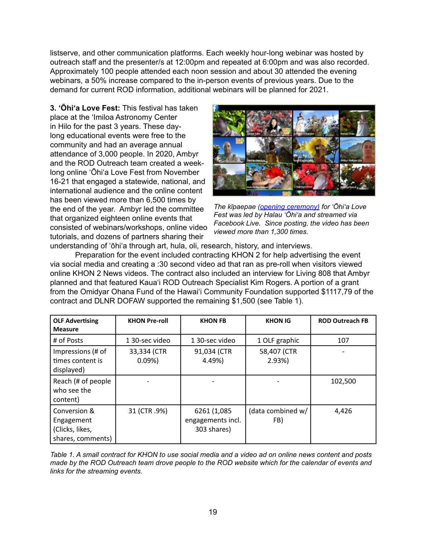listserve, and other communication platforms. Each weekly hour-long webinar was hosted by outreach staff and the presenter/s at 12:00pm and repeated at 6:00pm and was also recorded. Approximately 100 people attended each noon session and about 30 attended the evening webinars, a 50% increase compared to the in-person events of previous years. Due to the demand for current ROD information, additional webinars will be planned for 2021.

**3. 'Ōhi'a Love Fest:** This festival has taken place at the 'Imiloa Astronomy Center in Hilo for the past 3 years. These daylong educational events were free to the community and had an average annual attendance of 3,000 people. In 2020, Ambyr and the ROD Outreach team created a weeklong online 'Ōhi'a Love Fest from November 16-21 that engaged a statewide, national, and international audience and the online content has been viewed more than 6,500 times by the end of the year. Ambyr led the committee that organized eighteen online events that consisted of webinars/workshops, online video tutorials, and dozens of partners sharing their



*The kīpaepae ([opening ceremony](https://www.facebook.com/RapidOhiaDeath/videos/995568644284221)) for 'Ōhi'a Love Fest was led by Halau 'Ōhi'a and streamed via Facebook Live. Since posting, the video has been viewed more than 1,300 times.* 

understanding of 'ōhi'a through art, hula, oli, research, history, and interviews.

 Preparation for the event included contracting KHON 2 for help advertising the event via social media and creating a :30 second video ad that ran as pre-roll when visitors viewed online KHON 2 News videos. The contract also included an interview for Living 808 that Ambyr planned and that featured Kaua'i ROD Outreach Specialist Kim Rogers. A portion of a grant from the Omidyar Ohana Fund of the Hawai'i Community Foundation supported \$1117,79 of the contract and DLNR DOFAW supported the remaining \$1,500 (see Table 1).

| <b>OLF Advertising</b><br><b>Measure</b>                           | <b>KHON Pre-roll</b> | <b>KHON FB</b>                                   | <b>KHON IG</b>           | <b>ROD Outreach FB</b> |
|--------------------------------------------------------------------|----------------------|--------------------------------------------------|--------------------------|------------------------|
| # of Posts                                                         | 130-sec video        | 1 30-sec video                                   | 1 OLF graphic            | 107                    |
| Impressions (# of<br>times content is<br>displayed)                | 33,334 (CTR<br>0.09% | 91,034 (CTR<br>4.49%)                            | 58,407 (CTR<br>2.93%     |                        |
| Reach (# of people<br>who see the<br>content)                      |                      |                                                  |                          | 102,500                |
| Conversion &<br>Engagement<br>(Clicks, likes,<br>shares, comments) | 31 (CTR.9%)          | 6261 (1,085)<br>engagements incl.<br>303 shares) | (data combined w/<br>FB) | 4,426                  |

*Table 1. A small contract for KHON to use social media and a video ad on online news content and posts made by the ROD Outreach team drove people to the ROD website which for the calendar of events and links for the streaming events.*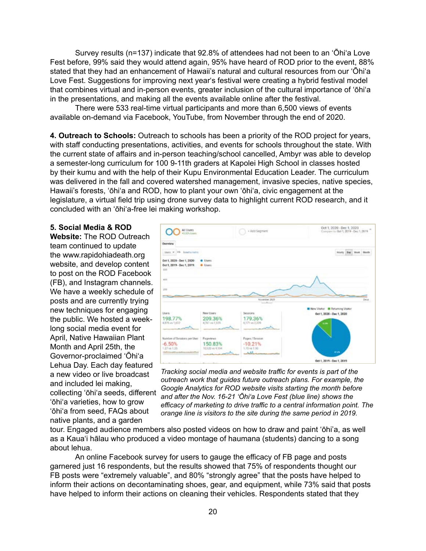Survey results (n=137) indicate that 92.8% of attendees had not been to an 'Ōhi'a Love Fest before, 99% said they would attend again, 95% have heard of ROD prior to the event, 88% stated that they had an enhancement of Hawaii's natural and cultural resources from our 'Ōhi'a Love Fest. Suggestions for improving next yearʻs festival were creating a hybrid festival model that combines virtual and in-person events, greater inclusion of the cultural importance of ʻōhiʻa in the presentations, and making all the events available online after the festival.

 There were 533 real-time virtual participants and more than 6,500 views of events available on-demand via Facebook, YouTube, from November through the end of 2020.

**4. Outreach to Schools:** Outreach to schools has been a priority of the ROD project for years, with staff conducting presentations, activities, and events for schools throughout the state. With the current state of affairs and in-person teaching/school cancelled, Ambyr was able to develop a semester-long curriculum for 100 9-11th graders at Kapolei High School in classes hosted by their kumu and with the help of their Kupu Environmental Education Leader. The curriculum was delivered in the fall and covered watershed management, invasive species, native species, Hawaii's forests, 'ōhi'a and ROD, how to plant your own 'ōhi'a, civic engagement at the legislature, a virtual field trip using drone survey data to highlight current ROD research, and it concluded with an 'ōhi'a-free lei making workshop.

#### **5. Social Media & ROD**

**Website:** The ROD Outreach team continued to update the www.rapidohiadeath.org website, and develop content to post on the ROD Facebook (FB), and Instagram channels. We have a weekly schedule of posts and are currently trying new techniques for engaging the public. We hosted a weeklong social media event for April, Native Hawaiian Plant Month and April 25th, the Governor-proclaimed 'Ōhi'a Lehua Day. Each day featured a new video or live broadcast and included lei making, collecting 'ōhi'a seeds, different 'ōhi'a varieties, how to grow 'ōhi'a from seed, FAQs about native plants, and a garden



*Tracking social media and website traffic for events is part of the outreach work that guides future outreach plans. For example, the Google Analytics for ROD website visits starting the month before and after the Nov. 16-21 'Ōhi'a Love Fest (blue line) shows the efficacy of marketing to drive traffic to a central information point. The orange line is visitors to the site during the same period in 2019.* 

tour. Engaged audience members also posted videos on how to draw and paint 'ōhi'a, as well as a Kaua'i hālau who produced a video montage of haumana (students) dancing to a song about lehua.

 An online Facebook survey for users to gauge the efficacy of FB page and posts garnered just 16 respondents, but the results showed that 75% of respondents thought our FB posts were "extremely valuable", and 80% "strongly agree" that the posts have helped to inform their actions on decontaminating shoes, gear, and equipment, while 73% said that posts have helped to inform their actions on cleaning their vehicles. Respondents stated that they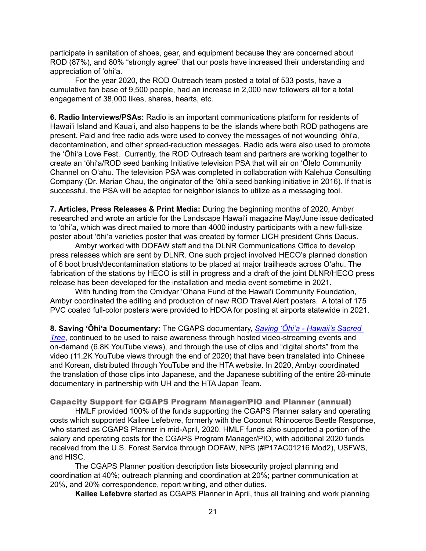participate in sanitation of shoes, gear, and equipment because they are concerned about ROD (87%), and 80% "strongly agree" that our posts have increased their understanding and appreciation of 'ōhi'a.

 For the year 2020, the ROD Outreach team posted a total of 533 posts, have a cumulative fan base of 9,500 people, had an increase in 2,000 new followers all for a total engagement of 38,000 likes, shares, hearts, etc.

**6. Radio Interviews/PSAs:** Radio is an important communications platform for residents of Hawai'i Island and Kaua'i, and also happens to be the islands where both ROD pathogens are present. Paid and free radio ads were used to convey the messages of not wounding 'ōhi'a, decontamination, and other spread-reduction messages. Radio ads were also used to promote the 'Ōhi'a Love Fest. Currently, the ROD Outreach team and partners are working together to create an 'ōhi'a/ROD seed banking Initiative television PSA that will air on 'Ōlelo Community Channel on O'ahu. The television PSA was completed in collaboration with Kalehua Consulting Company (Dr. Marian Chau, the originator of the 'ōhi'a seed banking initiative in 2016). If that is successful, the PSA will be adapted for neighbor islands to utilize as a messaging tool.

**7. Articles, Press Releases & Print Media:** During the beginning months of 2020, Ambyr researched and wrote an article for the Landscape Hawai'i magazine May/June issue dedicated to 'ōhi'a, which was direct mailed to more than 4000 industry participants with a new full-size poster about 'ōhi'a varieties poster that was created by former LICH president Chris Dacus.

 Ambyr worked with DOFAW staff and the DLNR Communications Office to develop press releases which are sent by DLNR. One such project involved HECO's planned donation of 6 boot brush/decontamination stations to be placed at major trailheads across O'ahu. The fabrication of the stations by HECO is still in progress and a draft of the joint DLNR/HECO press release has been developed for the installation and media event sometime in 2021.

 With funding from the Omidyar 'Ohana Fund of the Hawai'i Community Foundation, Ambyr coordinated the editing and production of new ROD Travel Alert posters. A total of 175 PVC coated full-color posters were provided to HDOA for posting at airports statewide in 2021.

**8. Saving 'Ōhi'a Documentary:** The CGAPS documentary, *[Saving 'Ōhi'a - Hawaii's Sacred](https://www.youtube.com/watch?v=MISAKT4LgFw)  [Tree](https://www.youtube.com/watch?v=MISAKT4LgFw)*, continued to be used to raise awareness through hosted video-streaming events and on-demand (6.8K YouTube views), and through the use of clips and "digital shorts" from the video (11.2K YouTube views through the end of 2020) that have been translated into Chinese and Korean, distributed through YouTube and the HTA website. In 2020, Ambyr coordinated the translation of those clips into Japanese, and the Japanese subtitling of the entire 28-minute documentary in partnership with UH and the HTA Japan Team.

Capacity Support for CGAPS Program Manager/PIO and Planner (annual)

 HMLF provided 100% of the funds supporting the CGAPS Planner salary and operating costs which supported Kailee Lefebvre, formerly with the Coconut Rhinoceros Beetle Response, who started as CGAPS Planner in mid-April, 2020. HMLF funds also supported a portion of the salary and operating costs for the CGAPS Program Manager/PIO, with additional 2020 funds received from the U.S. Forest Service through DOFAW, NPS (#P17AC01216 Mod2), USFWS, and HISC.

 The CGAPS Planner position description lists biosecurity project planning and coordination at 40%; outreach planning and coordination at 20%; partner communication at 20%, and 20% correspondence, report writing, and other duties.

**Kailee Lefebvre** started as CGAPS Planner in April, thus all training and work planning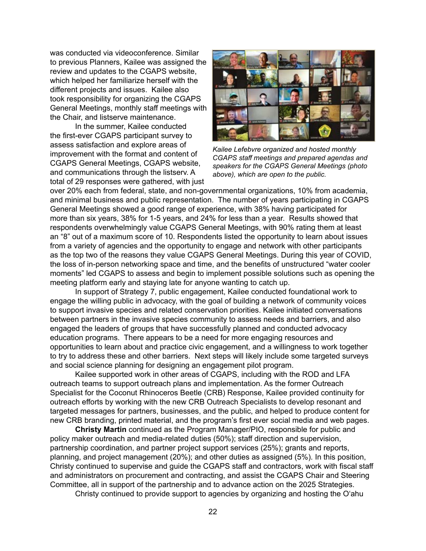was conducted via videoconference. Similar to previous Planners, Kailee was assigned the review and updates to the CGAPS website, which helped her familiarize herself with the different projects and issues. Kailee also took responsibility for organizing the CGAPS General Meetings, monthly staff meetings with the Chair, and listserve maintenance.

 In the summer, Kailee conducted the first-ever CGAPS participant survey to assess satisfaction and explore areas of improvement with the format and content of CGAPS General Meetings, CGAPS website, and communications through the listserv. A total of 29 responses were gathered, with just



*Kailee Lefebvre organized and hosted monthly CGAPS staff meetings and prepared agendas and speakers for the CGAPS General Meetings (photo above), which are open to the public.* 

over 20% each from federal, state, and non-governmental organizations, 10% from academia, and minimal business and public representation. The number of years participating in CGAPS General Meetings showed a good range of experience, with 38% having participated for more than six years, 38% for 1-5 years, and 24% for less than a year. Results showed that respondents overwhelmingly value CGAPS General Meetings, with 90% rating them at least an "8" out of a maximum score of 10. Respondents listed the opportunity to learn about issues from a variety of agencies and the opportunity to engage and network with other participants as the top two of the reasons they value CGAPS General Meetings. During this year of COVID, the loss of in-person networking space and time, and the benefits of unstructured "water cooler moments" led CGAPS to assess and begin to implement possible solutions such as opening the meeting platform early and staying late for anyone wanting to catch up.

 In support of Strategy 7, public engagement, Kailee conducted foundational work to engage the willing public in advocacy, with the goal of building a network of community voices to support invasive species and related conservation priorities. Kailee initiated conversations between partners in the invasive species community to assess needs and barriers, and also engaged the leaders of groups that have successfully planned and conducted advocacy education programs. There appears to be a need for more engaging resources and opportunities to learn about and practice civic engagement, and a willingness to work together to try to address these and other barriers. Next steps will likely include some targeted surveys and social science planning for designing an engagement pilot program.

 Kailee supported work in other areas of CGAPS, including with the ROD and LFA outreach teams to support outreach plans and implementation. As the former Outreach Specialist for the Coconut Rhinoceros Beetle (CRB) Response, Kailee provided continuity for outreach efforts by working with the new CRB Outreach Specialists to develop resonant and targeted messages for partners, businesses, and the public, and helped to produce content for new CRB branding, printed material, and the program's first ever social media and web pages.

**Christy Martin** continued as the Program Manager/PIO, responsible for public and policy maker outreach and media-related duties (50%); staff direction and supervision, partnership coordination, and partner project support services (25%); grants and reports, planning, and project management (20%); and other duties as assigned (5%). In this position, Christy continued to supervise and guide the CGAPS staff and contractors, work with fiscal staff and administrators on procurement and contracting, and assist the CGAPS Chair and Steering Committee, all in support of the partnership and to advance action on the 2025 Strategies.

 Christy continued to provide support to agencies by organizing and hosting the O'ahu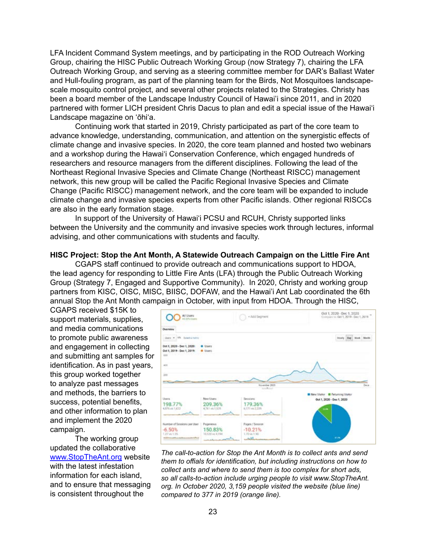LFA Incident Command System meetings, and by participating in the ROD Outreach Working Group, chairing the HISC Public Outreach Working Group (now Strategy 7), chairing the LFA Outreach Working Group, and serving as a steering committee member for DAR's Ballast Water and Hull-fouling program, as part of the planning team for the Birds, Not Mosquitoes landscapescale mosquito control project, and several other projects related to the Strategies. Christy has been a board member of the Landscape Industry Council of Hawai'i since 2011, and in 2020 partnered with former LICH president Chris Dacus to plan and edit a special issue of the Hawai'i Landscape magazine on 'ōhi'a.

 Continuing work that started in 2019, Christy participated as part of the core team to advance knowledge, understanding, communication, and attention on the synergistic effects of climate change and invasive species. In 2020, the core team planned and hosted two webinars and a workshop during the Hawai'i Conservation Conference, which engaged hundreds of researchers and resource managers from the different disciplines. Following the lead of the Northeast Regional Invasive Species and Climate Change (Northeast RISCC) management network, this new group will be called the Pacific Regional Invasive Species and Climate Change (Pacific RISCC) management network, and the core team will be expanded to include climate change and invasive species experts from other Pacific islands. Other regional RISCCs are also in the early formation stage.

 In support of the University of Hawai'i PCSU and RCUH, Christy supported links between the University and the community and invasive species work through lectures, informal advising, and other communications with students and faculty.

#### **HISC Project: Stop the Ant Month, A Statewide Outreach Campaign on the Little Fire Ant**

 CGAPS staff continued to provide outreach and communications support to HDOA, the lead agency for responding to Little Fire Ants (LFA) through the Public Outreach Working Group (Strategy 7, Engaged and Supportive Community). In 2020, Christy and working group partners from KISC, OISC, MISC, BIISC, DOFAW, and the Hawai'i Ant Lab coordinated the 6th annual Stop the Ant Month campaign in October, with input from HDOA. Through the HISC,

CGAPS received \$15K to support materials, supplies, and media communications to promote public awareness and engagement in collecting and submitting ant samples for identification. As in past years, this group worked together to analyze past messages and methods, the barriers to success, potential benefits, and other information to plan and implement the 2020 campaign.

 The working group updated the collaborative [www.StopTheAnt.org](http://www.StopTheAnt.org) website with the latest infestation information for each island, and to ensure that messaging is consistent throughout the



*The call-to-action for Stop the Ant Month is to collect ants and send them to offials for identification, but including instructions on how to collect ants and where to send them is too complex for short ads, so all calls-to-action include urging people to visit www.StopTheAnt. org. In October 2020, 3,159 people visited the website (blue line) compared to 377 in 2019 (orange line).*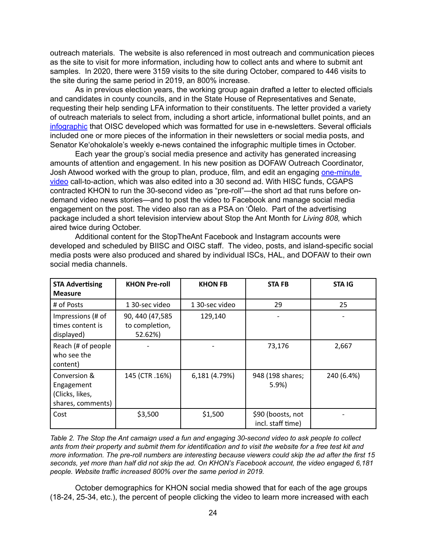outreach materials. The website is also referenced in most outreach and communication pieces as the site to visit for more information, including how to collect ants and where to submit ant samples. In 2020, there were 3159 visits to the site during October, compared to 446 visits to the site during the same period in 2019, an 800% increase.

 As in previous election years, the working group again drafted a letter to elected officials and candidates in county councils, and in the State House of Representatives and Senate, requesting their help sending LFA information to their constituents. The letter provided a variety of outreach materials to select from, including a short article, informational bullet points, and an [infographic](http://stoptheant.org/wp-content/uploads/Check-Your-Plants-for-Ants.pdf) that OISC developed which was formatted for use in e-newsletters. Several officials included one or more pieces of the information in their newsletters or social media posts, and Senator Ke'ohokalole's weekly e-news contained the infographic multiple times in October.

 Each year the group's social media presence and activity has generated increasing amounts of attention and engagement. In his new position as DOFAW Outreach Coordinator, Josh Atwood worked with the group to plan, produce, film, and edit an engaging [one-minute](https://vimeo.com/465502201) [video](https://vimeo.com/465502201) call-to-action, which was also edited into a 30 second ad. With HISC funds, CGAPS contracted KHON to run the 30-second video as "pre-roll"—the short ad that runs before ondemand video news stories—and to post the video to Facebook and manage social media engagement on the post. The video also ran as a PSA on 'Ōlelo. Part of the advertising package included a short television interview about Stop the Ant Month for *Living 808,* which aired twice during October.

 Additional content for the StopTheAnt Facebook and Instagram accounts were developed and scheduled by BIISC and OISC staff. The video, posts, and island-specific social media posts were also produced and shared by individual ISCs, HAL, and DOFAW to their own social media channels.

| <b>STA Advertising</b><br><b>Measure</b>                           | <b>KHON Pre-roll</b>                          | <b>KHON FB</b> | <b>STAFB</b>                           | <b>STA IG</b> |
|--------------------------------------------------------------------|-----------------------------------------------|----------------|----------------------------------------|---------------|
| # of Posts                                                         | 1 30-sec video                                | 1 30-sec video | 29                                     | 25            |
| Impressions (# of<br>times content is<br>displayed)                | 90, 440 (47,585)<br>to completion,<br>52.62%) | 129,140        |                                        |               |
| Reach (# of people<br>who see the<br>content)                      |                                               |                | 73,176                                 | 2,667         |
| Conversion &<br>Engagement<br>(Clicks, likes,<br>shares, comments) | 145 (CTR.16%)                                 | 6,181 (4.79%)  | 948 (198 shares;<br>5.9%               | 240 (6.4%)    |
| Cost                                                               | \$3,500                                       | \$1,500        | \$90 (boosts, not<br>incl. staff time) |               |

*Table 2. The Stop the Ant camaign used a fun and engaging 30-second video to ask people to collect ants from their property and submit them for identification and to visit the website for a free test kit and more information. The pre-roll numbers are interesting because viewers could skip the ad after the first 15 seconds, yet more than half did not skip the ad. On KHON's Facebook account, the video engaged 6,181 people. Website traffic increased 800% over the same period in 2019.* 

 October demographics for KHON social media showed that for each of the age groups (18-24, 25-34, etc.), the percent of people clicking the video to learn more increased with each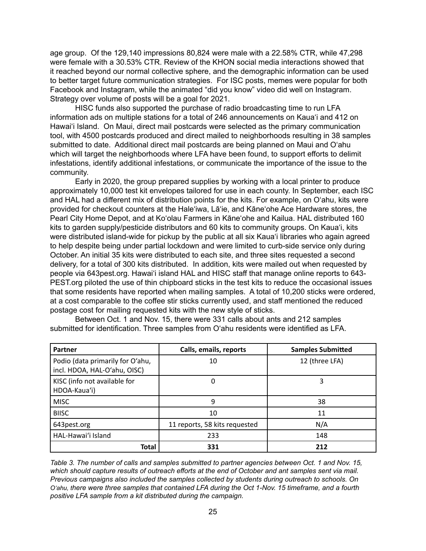age group. Of the 129,140 impressions 80,824 were male with a 22.58% CTR, while 47,298 were female with a 30.53% CTR. Review of the KHON social media interactions showed that it reached beyond our normal collective sphere, and the demographic information can be used to better target future communication strategies. For ISC posts, memes were popular for both Facebook and Instagram, while the animated "did you know" video did well on Instagram. Strategy over volume of posts will be a goal for 2021.

 HISC funds also supported the purchase of radio broadcasting time to run LFA information ads on multiple stations for a total of 246 announcements on Kaua'i and 412 on Hawai'i Island. On Maui, direct mail postcards were selected as the primary communication tool, with 4500 postcards produced and direct mailed to neighborhoods resulting in 38 samples submitted to date. Additional direct mail postcards are being planned on Maui and O'ahu which will target the neighborhoods where LFA have been found, to support efforts to delimit infestations, identify additional infestations, or communicate the importance of the issue to the community.

 Early in 2020, the group prepared supplies by working with a local printer to produce approximately 10,000 test kit envelopes tailored for use in each county. In September, each ISC and HAL had a different mix of distribution points for the kits. For example, on O'ahu, kits were provided for checkout counters at the Hale'iwa, Lā'ie, and Kāne'ohe Ace Hardware stores, the Pearl City Home Depot, and at Ko'olau Farmers in Kāne'ohe and Kailua. HAL distributed 160 kits to garden supply/pesticide distributors and 60 kits to community groups. On Kaua'i, kits were distributed island-wide for pickup by the public at all six Kaua'i libraries who again agreed to help despite being under partial lockdown and were limited to curb-side service only during October. An initial 35 kits were distributed to each site, and three sites requested a second delivery, for a total of 300 kits distributed. In addition, kits were mailed out when requested by people via 643pest.org. Hawai'i island HAL and HISC staff that manage online reports to 643- PEST.org piloted the use of thin chipboard sticks in the test kits to reduce the occasional issues that some residents have reported when mailing samples. A total of 10,200 sticks were ordered, at a cost comparable to the coffee stir sticks currently used, and staff mentioned the reduced postage cost for mailing requested kits with the new style of sticks.

 Between Oct. 1 and Nov. 15, there were 331 calls about ants and 212 samples submitted for identification. Three samples from O'ahu residents were identified as LFA.

| Partner                                                          | Calls, emails, reports        | <b>Samples Submitted</b> |  |  |
|------------------------------------------------------------------|-------------------------------|--------------------------|--|--|
| Podio (data primarily for O'ahu,<br>incl. HDOA, HAL-O'ahu, OISC) | 10                            | 12 (three LFA)           |  |  |
| KISC (info not available for<br>HDOA-Kaua'i)                     | 0                             | 3                        |  |  |
| <b>MISC</b>                                                      | 9                             | 38                       |  |  |
| <b>BIISC</b>                                                     | 10                            | 11                       |  |  |
| 643pest.org                                                      | 11 reports, 58 kits requested | N/A                      |  |  |
| HAL-Hawai'i Island                                               | 233                           | 148                      |  |  |
| <b>Total</b>                                                     | 331                           | 212                      |  |  |

*Table 3. The number of calls and samples submitted to partner agencies between Oct. 1 and Nov. 15, which should capture results of outreach efforts at the end of October and ant samples sent via mail. Previous campaigns also included the samples collected by students during outreach to schools. On O'ahu, there were three samples that contained LFA during the Oct 1-Nov. 15 timeframe, and a fourth positive LFA sample from a kit distributed during the campaign.*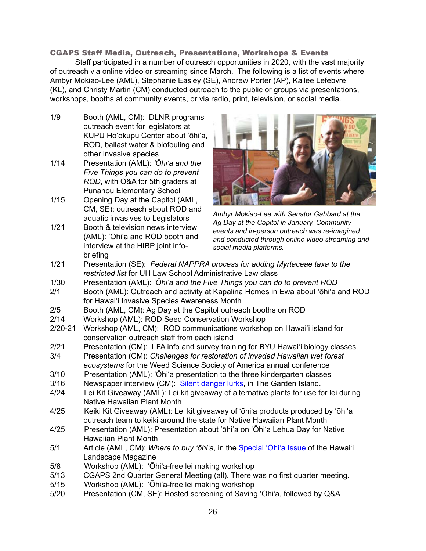# CGAPS Staff Media, Outreach, Presentations, Workshops & Events

Staff participated in a number of outreach opportunities in 2020, with the vast majority of outreach via online video or streaming since March. The following is a list of events where Ambyr Mokiao-Lee (AML), Stephanie Easley (SE), Andrew Porter (AP), Kailee Lefebvre (KL), and Christy Martin (CM) conducted outreach to the public or groups via presentations, workshops, booths at community events, or via radio, print, television, or social media.

- 1/9 Booth (AML, CM): DLNR programs outreach event for legislators at KUPU Ho'okupu Center about 'ōhi'a, ROD, ballast water & biofouling and other invasive species
- 1/14 Presentation (AML): *'Ōhi'a and the Five Things you can do to prevent ROD*, with Q&A for 5th graders at Punahou Elementary School
- 1/15 Opening Day at the Capitol (AML, CM, SE): outreach about ROD and aquatic invasives to Legislators
- 1/21 Booth & television news interview (AML): 'Ōhi'a and ROD booth and interview at the HIBP joint infobriefing



*Ambyr Mokiao-Lee with Senator Gabbard at the Ag Day at the Capitol in January. Community events and in-person outreach was re-imagined and conducted through online video streaming and social media platforms.* 

- 1/21 Presentation (SE): *Federal NAPPRA process for adding Myrtaceae taxa to the restricted list* for UH Law School Administrative Law class
- 1/30 Presentation (AML): *'Ōhi'a and the Five Things you can do to prevent ROD*
- 2/1 Booth (AML): Outreach and activity at Kapalina Homes in Ewa about 'ōhi'a and ROD for Hawai'i Invasive Species Awareness Month
- 2/5 Booth (AML, CM): Ag Day at the Capitol outreach booths on ROD
- 2/14 Workshop (AML): ROD Seed Conservation Workshop
- 2/20-21 Workshop (AML, CM): ROD communications workshop on Hawai'i island for conservation outreach staff from each island
- 2/21 Presentation (CM): LFA info and survey training for BYU Hawai'i biology classes
- 3/4 Presentation (CM): *Challenges for restoration of invaded Hawaiian wet forest ecosystems* for the Weed Science Society of America annual conference
- 3/10 Presentation (AML): 'Ōhi'a presentation to the three kindergarten classes
- 3/16 Newspaper interview (CM): Silent [danger](https://www.thegardenisland.com/2020/03/16/hawaii-news/silent-danger-lurks/) lurks, in The Garden Island.
- 4/24 Lei Kit Giveaway (AML): Lei kit giveaway of alternative plants for use for lei during Native Hawaiian Plant Month
- 4/25 Keiki Kit Giveaway (AML): Lei kit giveaway of 'ōhi'a products produced by 'ōhi'a outreach team to keiki around the state for Native Hawaiian Plant Month
- 4/25 Presentation (AML): Presentation about 'ōhi'a on 'Ōhi'a Lehua Day for Native Hawaiian Plant Month
- 5/1 Article (AML, CM): *Where to buy 'ōhi'a*, in the [Special](https://www.khon2.com/local-news/ohia-love-fest-bringing-awareness-to-hawaii-forest-disease/) 'Ohi'a Issue of the Hawai'i Landscape Magazine
- 5/8 Workshop (AML): 'Ōhi'a-free lei making workshop
- 5/13 CGAPS 2nd Quarter General Meeting (all). There was no first quarter meeting.
- 5/15 Workshop (AML): 'Ōhi'a-free lei making workshop
- 5/20 Presentation (CM, SE): Hosted screening of Saving ʻŌhiʻa, followed by Q&A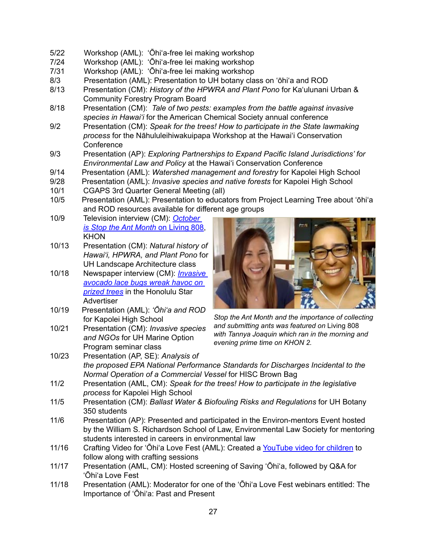- 5/22 Workshop (AML): 'Ōhi'a-free lei making workshop
- Workshop (AML): 'Ōhi'a-free lei making workshop
- 7/31 Workshop (AML): 'Ōhi'a-free lei making workshop
- Presentation (AML): Presentation to UH botany class on 'ōhi'a and ROD
- 8/13 Presentation (CM): *History of the HPWRA and Plant Pono* for Ka'ulunani Urban & Community Forestry Program Board
- 8/18 Presentation (CM): *Tale of two pests: examples from the battle against invasive species in Hawai'i* for the American Chemical Society annual conference
- 9/2 Presentation (CM): Speak for the trees! How to participate in the State lawmaking *process* for the Nāhululeihiwakuipapa Workshop at the Hawai'i Conservation **Conference**
- 9/3 Presentation (AP): *Exploring Partnerships to Expand Pacific Island Jurisdictions' for Environmental Law and Policy* at the Hawai'i Conservation Conference
- 9/14 Presentation (AML): *Watershed management and forestry* for Kapolei High School
- 9/28 Presentation (AML): *Invasive species and native forests* for Kapolei High School
- 10/1 CGAPS 3rd Quarter General Meeting (all)
- 10/5 Presentation (AML): Presentation to educators from Project Learning Tree about 'ōhi'a and ROD resources available for different age groups
- 10/9 Television interview (CM): *[October](https://www.khon2.com/local-news/october-is-spot-the-ant-stop-the-ant-month/)  [is Stop the Ant Month](https://www.khon2.com/local-news/october-is-spot-the-ant-stop-the-ant-month/)* on Living 808, KHON
- 10/13 Presentation (CM): *Natural history of Hawai'i, HPWRA, and Plant Pono* for UH Landscape Architecture class
- 10/18 Newspaper interview (CM): *[Invasive](https://www.staradvertiser.com/2020/10/18/features/hawaii-gardens/hawaii-gardens-invasive-avocado-lace-bugs-wreak-havoc-on-prized-trees/)  [avocado lace bugs wreak havoc on](https://www.staradvertiser.com/2020/10/18/features/hawaii-gardens/hawaii-gardens-invasive-avocado-lace-bugs-wreak-havoc-on-prized-trees/)  [prized trees](https://www.staradvertiser.com/2020/10/18/features/hawaii-gardens/hawaii-gardens-invasive-avocado-lace-bugs-wreak-havoc-on-prized-trees/)* in the Honolulu Star **Advertiser**
- 10/19 Presentation (AML): *'Ōhi'a and ROD* for Kapolei High School
- 10/21 Presentation (CM): *Invasive species and NGOs* for UH Marine Option Program seminar class



*Stop the Ant Month and the importance of collecting and submitting ants was featured on* Living 808 *with Tannya Joaquin which ran in the morning and evening prime time on KHON 2.* 

- 10/23 Presentation (AP, SE): *Analysis of the proposed EPA National Performance Standards for Discharges Incidental to the Normal Operation of a Commercial Vessel* for HISC Brown Bag
- 11/2 Presentation (AML, CM): *Speak for the trees! How to participate in the legislative process* for Kapolei High School
- 11/5 Presentation (CM): *Ballast Water & Biofouling Risks and Regulations* for UH Botany 350 students
- 11/6 Presentation (AP): Presented and participated in the Environ-mentors Event hosted by the William S. Richardson School of Law, Environmental Law Society for mentoring students interested in careers in environmental law
- 11/16 Crafting Video for 'Ōhi'a Love Fest (AML): Created a [YouTube](https://www.youtube.com/watch?v=SgWah8c-Pn4&feature=youtu.be) video for children to follow along with crafting sessions
- 11/17 Presentation (AML, CM): Hosted screening of Saving ʻŌhiʻa, followed by Q&A for ʻŌhiʻa Love Fest
- 11/18 Presentation (AML): Moderator for one of the 'Ōhi'a Love Fest webinars entitled: The Importance of 'Ōhi'a: Past and Present